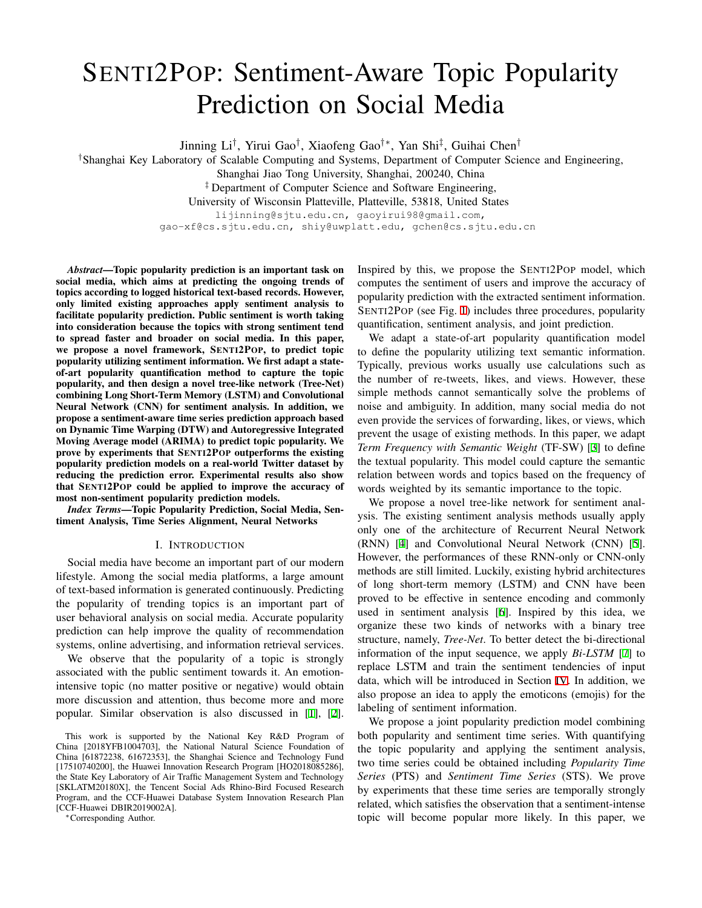# SENTI2POP: Sentiment-Aware Topic Popularity Prediction on Social Media

Jinning Li*†* , Yirui Gao*†* , Xiaofeng Gao*†∗*, Yan Shi*‡* , Guihai Chen*†*

*†*Shanghai Key Laboratory of Scalable Computing and Systems, Department of Computer Science and Engineering,

Shanghai Jiao Tong University, Shanghai, 200240, China

*‡* Department of Computer Science and Software Engineering,

University of Wisconsin Platteville, Platteville, 53818, United States

lijinning@sjtu.edu.cn, gaoyirui98@gmail.com,

gao-xf@cs.sjtu.edu.cn, shiy@uwplatt.edu, gchen@cs.sjtu.edu.cn

*Abstract*—Topic popularity prediction is an important task on social media, which aims at predicting the ongoing trends of topics according to logged historical text-based records. However, only limited existing approaches apply sentiment analysis to facilitate popularity prediction. Public sentiment is worth taking into consideration because the topics with strong sentiment tend to spread faster and broader on social media. In this paper, we propose a novel framework, SENTI2POP, to predict topic popularity utilizing sentiment information. We first adapt a stateof-art popularity quantification method to capture the topic popularity, and then design a novel tree-like network (Tree-Net) combining Long Short-Term Memory (LSTM) and Convolutional Neural Network (CNN) for sentiment analysis. In addition, we propose a sentiment-aware time series prediction approach based on Dynamic Time Warping (DTW) and Autoregressive Integrated Moving Average model (ARIMA) to predict topic popularity. We prove by experiments that SENTI2POP outperforms the existing popularity prediction models on a real-world Twitter dataset by reducing the prediction error. Experimental results also show that SENTI2POP could be applied to improve the accuracy of most non-sentiment popularity prediction models.

*Index Terms*—Topic Popularity Prediction, Social Media, Sentiment Analysis, Time Series Alignment, Neural Networks

## I. INTRODUCTION

Social media have become an important part of our modern lifestyle. Among the social media platforms, a large amount of text-based information is generated continuously. Predicting the popularity of trending topics is an important part of user behavioral analysis on social media. Accurate popularity prediction can help improve the quality of recommendation systems, online advertising, and information retrieval services.

We observe that the popularity of a topic is strongly associated with the public sentiment towards it. An emotionintensive topic (no matter positive or negative) would obtain more discussion and attention, thus become more and more popular. Similar observation is also discussed in [\[1](#page-5-0)], [\[2](#page-5-1)].

*∗*Corresponding Author.

Inspired by this, we propose the SENTI2POP model, which computes the sentiment of users and improve the accuracy of popularity prediction with the extracted sentiment information. SENTI2POP (see Fig. [1\)](#page-1-0) includes three procedures, popularity quantification, sentiment analysis, and joint prediction.

We adapt a state-of-art popularity quantification model to define the popularity utilizing text semantic information. Typically, previous works usually use calculations such as the number of re-tweets, likes, and views. However, these simple methods cannot semantically solve the problems of noise and ambiguity. In addition, many social media do not even provide the services of forwarding, likes, or views, which prevent the usage of existing methods. In this paper, we adapt *Term Frequency with Semantic Weight* (TF-SW) [[3\]](#page-5-2) to define the textual popularity. This model could capture the semantic relation between words and topics based on the frequency of words weighted by its semantic importance to the topic.

We propose a novel tree-like network for sentiment analysis. The existing sentiment analysis methods usually apply only one of the architecture of Recurrent Neural Network (RNN) [\[4](#page-5-3)] and Convolutional Neural Network (CNN) [\[5](#page-5-4)]. However, the performances of these RNN-only or CNN-only methods are still limited. Luckily, existing hybrid architectures of long short-term memory (LSTM) and CNN have been proved to be effective in sentence encoding and commonly used in sentiment analysis [\[6](#page-5-5)]. Inspired by this idea, we organize these two kinds of networks with a binary tree structure, namely, *Tree-Net*. To better detect the bi-directional information of the input sequence, we apply *Bi-LSTM* [\[7](#page-5-6)] to replace LSTM and train the sentiment tendencies of input data, which will be introduced in Section [IV](#page-2-0). In addition, we also propose an idea to apply the emoticons (emojis) for the labeling of sentiment information.

We propose a joint popularity prediction model combining both popularity and sentiment time series. With quantifying the topic popularity and applying the sentiment analysis, two time series could be obtained including *Popularity Time Series* (PTS) and *Sentiment Time Series* (STS). We prove by experiments that these time series are temporally strongly related, which satisfies the observation that a sentiment-intense topic will become popular more likely. In this paper, we

This work is supported by the National Key R&D Program of China [2018YFB1004703], the National Natural Science Foundation of China [61872238, 61672353], the Shanghai Science and Technology Fund [17510740200], the Huawei Innovation Research Program [HO2018085286], the State Key Laboratory of Air Traffic Management System and Technology [SKLATM20180X], the Tencent Social Ads Rhino-Bird Focused Research Program, and the CCF-Huawei Database System Innovation Research Plan [CCF-Huawei DBIR2019002A].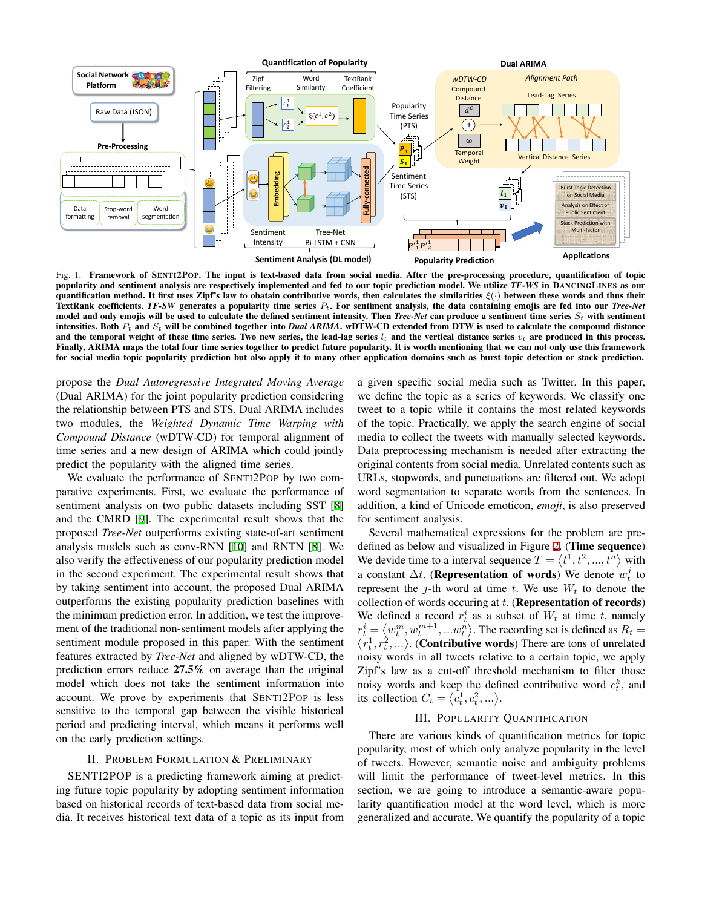

<span id="page-1-0"></span>Fig. 1. Framework of SENTI2POP. The input is text-based data from social media. After the pre-processing procedure, quantification of topic popularity and sentiment analysis are respectively implemented and fed to our topic prediction model. We utilize *TF-WS* in DANCINGLINES as our quantification method. It first uses Zipf's law to obatain contributive words, then calculates the similarities *ξ*(*·*) between these words and thus their TextRank coefficients. *TF-SW* generates a popularity time series *Pt*. For sentiment analysis, the data containing emojis are fed into our *Tree-Net* model and only emojis will be used to calculate the defined sentiment intensity. Then *Tree-Net* can produce a sentiment time series *St* with sentiment intensities. Both *Pt* and *St* will be combined together into *Dual ARIMA*. wDTW-CD extended from DTW is used to calculate the compound distance and the temporal weight of these time series. Two new series, the lead-lag series  $l_t$  and the vertical distance series  $v_t$  are produced in this process. Finally, ARIMA maps the total four time series together to predict future popularity. It is worth mentioning that we can not only use this framework for social media topic popularity prediction but also apply it to many other application domains such as burst topic detection or stack prediction.

propose the *Dual Autoregressive Integrated Moving Average* (Dual ARIMA) for the joint popularity prediction considering the relationship between PTS and STS. Dual ARIMA includes two modules, the *Weighted Dynamic Time Warping with Compound Distance* (wDTW-CD) for temporal alignment of time series and a new design of ARIMA which could jointly predict the popularity with the aligned time series.

We evaluate the performance of SENTI2POP by two comparative experiments. First, we evaluate the performance of sentiment analysis on two public datasets including SST [[8\]](#page-5-7) and the CMRD [\[9](#page-5-8)]. The experimental result shows that the proposed *Tree-Net* outperforms existing state-of-art sentiment analysis models such as conv-RNN [[10](#page-5-9)] and RNTN [\[8](#page-5-7)]. We also verify the effectiveness of our popularity prediction model in the second experiment. The experimental result shows that by taking sentiment into account, the proposed Dual ARIMA outperforms the existing popularity prediction baselines with the minimum prediction error. In addition, we test the improvement of the traditional non-sentiment models after applying the sentiment module proposed in this paper. With the sentiment features extracted by *Tree-Net* and aligned by wDTW-CD, the prediction errors reduce 27.5% on average than the original model which does not take the sentiment information into account. We prove by experiments that SENTI2POP is less sensitive to the temporal gap between the visible historical period and predicting interval, which means it performs well on the early prediction settings.

## II. PROBLEM FORMULATION & PRELIMINARY

SENTI2POP is a predicting framework aiming at predicting future topic popularity by adopting sentiment information based on historical records of text-based data from social media. It receives historical text data of a topic as its input from a given specific social media such as Twitter. In this paper, we define the topic as a series of keywords. We classify one tweet to a topic while it contains the most related keywords of the topic. Practically, we apply the search engine of social media to collect the tweets with manually selected keywords. Data preprocessing mechanism is needed after extracting the original contents from social media. Unrelated contents such as URLs, stopwords, and punctuations are filtered out. We adopt word segmentation to separate words from the sentences. In addition, a kind of Unicode emoticon, *emoji*, is also preserved for sentiment analysis.

Several mathematical expressions for the problem are predefined as below and visualized in Figure [2.](#page-2-1) (Time sequence) We devide time to a interval sequence  $T = \langle t^1, t^2, ..., t^n \rangle$  with a constant  $\Delta t$ . (**Representation of words**) We denote  $w_t^j$  to represent the *j*-th word at time  $t$ . We use  $W_t$  to denote the collection of words occuring at *t*. (Representation of records) We defined a record  $r_t^i$  as a subset of  $W_t$  at time  $t$ , namely  $r_t^i = \langle w_t^m, w_t^{m+1}, \dots w_t^n \rangle$ . The recording set is defined as  $R_t = \langle r_t^1, r_t^2, \dots \rangle$ . (**Contributive words**) There are tons of unrelated  $(r_t^1, r_t^2, \ldots)$ . (**Contributive words**) There are tons of unrelated noisy words in all tweets relative to a certain topic, we apply Zipf's law as a cut-off threshold mechanism to filter those noisy words and keep the defined contributive word  $c_t^k$ , and its collection  $C_t = \langle c_t^1, c_t^2, ...\rangle$ .

# III. POPULARITY QUANTIFICATION

There are various kinds of quantification metrics for topic popularity, most of which only analyze popularity in the level of tweets. However, semantic noise and ambiguity problems will limit the performance of tweet-level metrics. In this section, we are going to introduce a semantic-aware popularity quantification model at the word level, which is more generalized and accurate. We quantify the popularity of a topic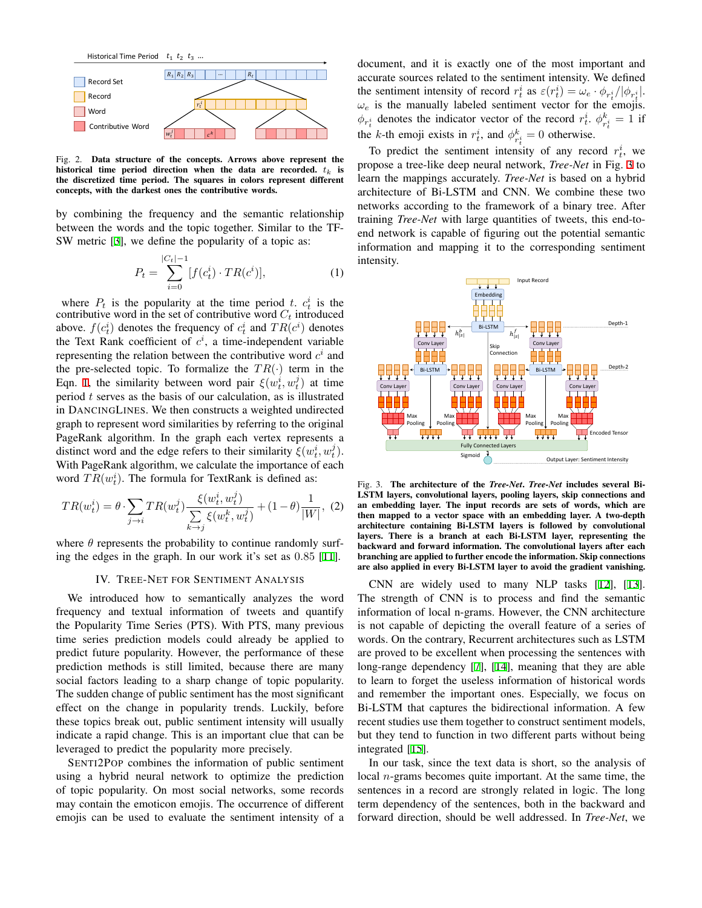

<span id="page-2-1"></span>Fig. 2. Data structure of the concepts. Arrows above represent the historical time period direction when the data are recorded. *t<sup>k</sup>* is the discretized time period. The squares in colors represent different concepts, with the darkest ones the contributive words.

by combining the frequency and the semantic relationship between the words and the topic together. Similar to the TF-SW metric [[3\]](#page-5-2), we define the popularity of a topic as:

<span id="page-2-2"></span>
$$
P_t = \sum_{i=0}^{|C_t|-1} [f(c_t^i) \cdot TR(c^i)], \tag{1}
$$

where  $P_t$  is the popularity at the time period *t*.  $c_t^i$  is the contributive word in the set of contributive word  $C_t$  introduced above.  $f(c_t^i)$  denotes the frequency of  $c_t^i$  and  $TR(c^i)$  denotes the Text Rank coefficient of  $c^i$ , a time-independent variable representing the relation between the contributive word  $c<sup>i</sup>$  and the pre-selected topic. To formalize the  $TR(\cdot)$  term in the Eqn. [1](#page-2-2), the similarity between word pair  $\xi(w_t^i, w_t^j)$  at time period *t* serves as the basis of our calculation, as is illustrated in DANCINGLINES. We then constructs a weighted undirected graph to represent word similarities by referring to the original PageRank algorithm. In the graph each vertex represents a distinct word and the edge refers to their similarity  $\xi(w_t^i, w_t^j)$ . With PageRank algorithm, we calculate the importance of each word  $TR(w_t^i)$ . The formula for TextRank is defined as:

$$
TR(w_t^i) = \theta \cdot \sum_{j \to i} TR(w_t^j) \frac{\xi(w_t^i, w_t^j)}{\sum_{k \to j} \xi(w_t^k, w_t^j)} + (1 - \theta) \frac{1}{|W|}, (2)
$$

where  $\theta$  represents the probability to continue randomly surfing the edges in the graph. In our work it's set as 0*.*85 [[11](#page-5-10)].

#### IV. TREE-NET FOR SENTIMENT ANALYSIS

<span id="page-2-0"></span>We introduced how to semantically analyzes the word frequency and textual information of tweets and quantify the Popularity Time Series (PTS). With PTS, many previous time series prediction models could already be applied to predict future popularity. However, the performance of these prediction methods is still limited, because there are many social factors leading to a sharp change of topic popularity. The sudden change of public sentiment has the most significant effect on the change in popularity trends. Luckily, before these topics break out, public sentiment intensity will usually indicate a rapid change. This is an important clue that can be leveraged to predict the popularity more precisely.

SENTI2POP combines the information of public sentiment using a hybrid neural network to optimize the prediction of topic popularity. On most social networks, some records may contain the emoticon emojis. The occurrence of different emojis can be used to evaluate the sentiment intensity of a document, and it is exactly one of the most important and accurate sources related to the sentiment intensity. We defined the sentiment intensity of record  $r_t^i$  as  $\varepsilon(r_t^i) = \omega_e \cdot \phi_{r_t^i}/|\phi_{r_t^i}|$ .  $\omega_e$  is the manually labeled sentiment vector for the emojis.  $\phi_{r_t^i}$  denotes the indicator vector of the record  $r_t^i$ .  $\phi_{r_t^i}^k = 1$  if the *k*-th emoji exists in  $r_t^i$ , and  $\phi_{r_t^i}^k = 0$  otherwise.

To predict the sentiment intensity of any record  $r_t^i$ , we propose a tree-like deep neural network, *Tree-Net* in Fig. [3](#page-2-3) to learn the mappings accurately. *Tree-Net* is based on a hybrid architecture of Bi-LSTM and CNN. We combine these two networks according to the framework of a binary tree. After training *Tree-Net* with large quantities of tweets, this end-toend network is capable of figuring out the potential semantic information and mapping it to the corresponding sentiment intensity.



<span id="page-2-3"></span>Fig. 3. The architecture of the *Tree-Net*. *Tree-Net* includes several Bi-LSTM layers, convolutional layers, pooling layers, skip connections and an embedding layer. The input records are sets of words, which are then mapped to a vector space with an embedding layer. A two-depth architecture containing Bi-LSTM layers is followed by convolutional layers. There is a branch at each Bi-LSTM layer, representing the backward and forward information. The convolutional layers after each branching are applied to further encode the information. Skip connections are also applied in every Bi-LSTM layer to avoid the gradient vanishing.

CNN are widely used to many NLP tasks [[12\]](#page-5-11), [\[13](#page-5-12)]. The strength of CNN is to process and find the semantic information of local n-grams. However, the CNN architecture is not capable of depicting the overall feature of a series of words. On the contrary, Recurrent architectures such as LSTM are proved to be excellent when processing the sentences with long-range dependency [[7\]](#page-5-6), [\[14](#page-5-13)], meaning that they are able to learn to forget the useless information of historical words and remember the important ones. Especially, we focus on Bi-LSTM that captures the bidirectional information. A few recent studies use them together to construct sentiment models, but they tend to function in two different parts without being integrated [\[15](#page-5-14)].

In our task, since the text data is short, so the analysis of local *n*-grams becomes quite important. At the same time, the sentences in a record are strongly related in logic. The long term dependency of the sentences, both in the backward and forward direction, should be well addressed. In *Tree-Net*, we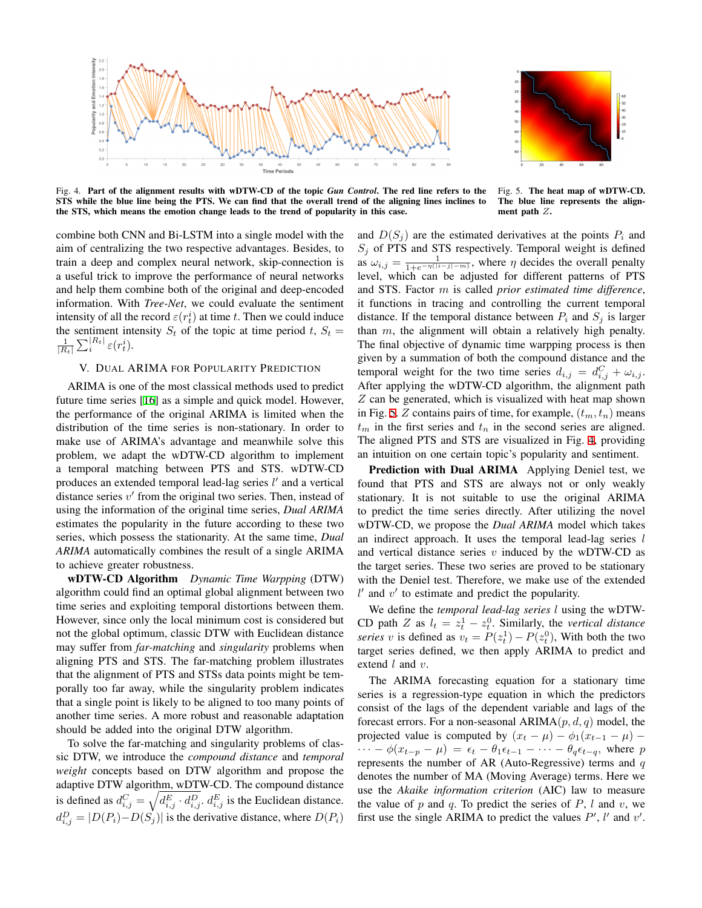



<span id="page-3-1"></span>Fig. 4. Part of the alignment results with wDTW-CD of the topic *Gun Control*. The red line refers to the STS while the blue line being the PTS. We can find that the overall trend of the aligning lines inclines to the STS, which means the emotion change leads to the trend of popularity in this case.

<span id="page-3-0"></span>Fig. 5. The heat map of wDTW-CD. The blue line represents the alignment path *Z*.

combine both CNN and Bi-LSTM into a single model with the aim of centralizing the two respective advantages. Besides, to train a deep and complex neural network, skip-connection is a useful trick to improve the performance of neural networks and help them combine both of the original and deep-encoded information. With *Tree-Net*, we could evaluate the sentiment intensity of all the record  $\varepsilon(r_t^i)$  at time *t*. Then we could induce the sentiment intensity  $S_t$  of the topic at time period  $t$ ,  $S_t$  =  $\frac{1}{|R_t|} \sum_i^{|R_t|} \varepsilon(r_t^i)$ .

# V. DUAL ARIMA FOR POPULARITY PREDICTION

ARIMA is one of the most classical methods used to predict future time series [\[16](#page-5-15)] as a simple and quick model. However, the performance of the original ARIMA is limited when the distribution of the time series is non-stationary. In order to make use of ARIMA's advantage and meanwhile solve this problem, we adapt the wDTW-CD algorithm to implement a temporal matching between PTS and STS. wDTW-CD produces an extended temporal lead-lag series *l ′* and a vertical distance series *v ′* from the original two series. Then, instead of using the information of the original time series, *Dual ARIMA* estimates the popularity in the future according to these two series, which possess the stationarity. At the same time, *Dual ARIMA* automatically combines the result of a single ARIMA to achieve greater robustness.

wDTW-CD Algorithm *Dynamic Time Warpping* (DTW) algorithm could find an optimal global alignment between two time series and exploiting temporal distortions between them. However, since only the local minimum cost is considered but not the global optimum, classic DTW with Euclidean distance may suffer from *far-matching* and *singularity* problems when aligning PTS and STS. The far-matching problem illustrates that the alignment of PTS and STSs data points might be temporally too far away, while the singularity problem indicates that a single point is likely to be aligned to too many points of another time series. A more robust and reasonable adaptation should be added into the original DTW algorithm.

To solve the far-matching and singularity problems of classic DTW, we introduce the *compound distance* and *temporal weight* concepts based on DTW algorithm and propose the adaptive DTW algorithm, wDTW-CD. The compound distance is defined as  $d_{i,j}^C = \sqrt{d_{i,j}^E \cdot d_{i,j}^D}$ ,  $d_{i,j}^E$  is the Euclidean distance.  $d_{i,j}^D = |D(P_i) - D(S_j)|$  is the derivative distance, where  $D(P_i)$  and  $D(S_i)$  are the estimated derivatives at the points  $P_i$  and  $S_j$  of PTS and STS respectively. Temporal weight is defined as  $\omega_{i,j} = \frac{1}{1 + e^{-\eta(|i-j| - m)}}$ , where  $\eta$  decides the overall penalty level, which can be adjusted for different patterns of PTS and STS. Factor *m* is called *prior estimated time difference*, it functions in tracing and controlling the current temporal distance. If the temporal distance between  $P_i$  and  $S_j$  is larger than *m*, the alignment will obtain a relatively high penalty. The final objective of dynamic time warpping process is then given by a summation of both the compound distance and the temporal weight for the two time series  $d_{i,j} = d_{i,j}^C + \omega_{i,j}$ . After applying the wDTW-CD algorithm, the alignment path *Z* can be generated, which is visualized with heat map shown in Fig. [5](#page-3-0). *Z* contains pairs of time, for example, (*tm, tn*) means  $t_m$  in the first series and  $t_n$  in the second series are aligned. The aligned PTS and STS are visualized in Fig. [4](#page-3-1), providing an intuition on one certain topic's popularity and sentiment.

Prediction with Dual ARIMA Applying Deniel test, we found that PTS and STS are always not or only weakly stationary. It is not suitable to use the original ARIMA to predict the time series directly. After utilizing the novel wDTW-CD, we propose the *Dual ARIMA* model which takes an indirect approach. It uses the temporal lead-lag series *l* and vertical distance series *v* induced by the wDTW-CD as the target series. These two series are proved to be stationary with the Deniel test. Therefore, we make use of the extended *l ′* and *v ′* to estimate and predict the popularity.

We define the *temporal lead-lag series l* using the wDTW-CD path *Z* as  $l_t = z_t^1 - z_t^0$ . Similarly, the *vertical distance series v* is defined as  $v_t = P(z_t^1) - P(z_t^0)$ , With both the two target series defined, we then apply ARIMA to predict and extend *l* and *v*.

The ARIMA forecasting equation for a stationary time series is a regression-type equation in which the predictors consist of the lags of the dependent variable and lags of the forecast errors. For a non-seasonal ARIMA(*p, d, q*) model, the projected value is computed by  $(x_t - \mu) - \phi_1(x_{t-1} - \mu)$  –  $\cdots - \phi(x_{t-p} - \mu) = \epsilon_t - \theta_1 \epsilon_{t-1} - \cdots - \theta_q \epsilon_{t-q}$ , where p represents the number of AR (Auto-Regressive) terms and *q* denotes the number of MA (Moving Average) terms. Here we use the *Akaike information criterion* (AIC) law to measure the value of *p* and *q*. To predict the series of *P*, *l* and *v*, we first use the single ARIMA to predict the values  $P'$ ,  $l'$  and  $v'$ .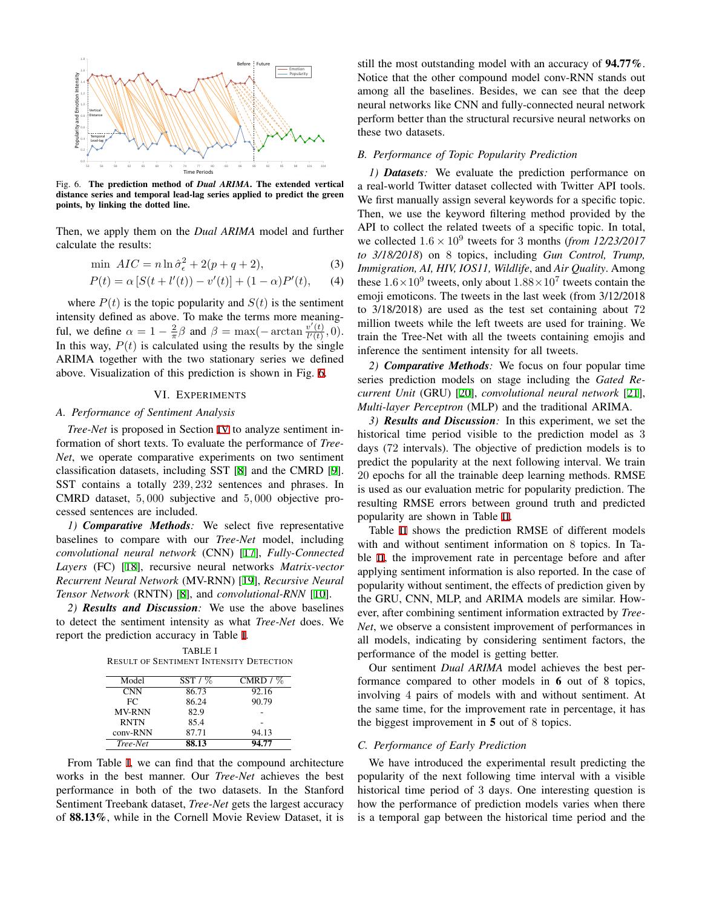

<span id="page-4-0"></span>Fig. 6. The prediction method of *Dual ARIMA*. The extended vertical distance series and temporal lead-lag series applied to predict the green points, by linking the dotted line.

Then, we apply them on the *Dual ARIMA* model and further calculate the results:

$$
\min \; AIC = n \ln \hat{\sigma}_{\epsilon}^2 + 2(p+q+2), \tag{3}
$$

$$
P(t) = \alpha [S(t + l'(t)) - v'(t)] + (1 - \alpha)P'(t), \qquad (4)
$$

where  $P(t)$  is the topic popularity and  $S(t)$  is the sentiment intensity defined as above. To make the terms more meaningful, we define  $\alpha = 1 - \frac{2}{\pi} \beta$  and  $\beta = \max(-\arctan \frac{v'(t)}{l'(t)})$  $\frac{v_-(t)}{l'(t)}, 0).$ In this way,  $P(t)$  is calculated using the results by the single ARIMA together with the two stationary series we defined above. Visualization of this prediction is shown in Fig. [6.](#page-4-0)

#### VI. EXPERIMENTS

# *A. Performance of Sentiment Analysis*

*Tree-Net* is proposed in Section [IV](#page-2-0) to analyze sentiment information of short texts. To evaluate the performance of *Tree-Net*, we operate comparative experiments on two sentiment classification datasets, including SST [\[8](#page-5-7)] and the CMRD [\[9](#page-5-8)]. SST contains a totally 239*,* 232 sentences and phrases. In CMRD dataset, 5*,* 000 subjective and 5*,* 000 objective processed sentences are included.

*1) Comparative Methods:* We select five representative baselines to compare with our *Tree-Net* model, including *convolutional neural network* (CNN) [\[17](#page-5-16)], *Fully-Connected Layers* (FC) [\[18](#page-5-17)], recursive neural networks *Matrix-vector Recurrent Neural Network* (MV-RNN) [\[19](#page-5-18)], *Recursive Neural Tensor Network* (RNTN) [\[8](#page-5-7)], and *convolutional-RNN* [[10\]](#page-5-9).

<span id="page-4-1"></span>*2) Results and Discussion:* We use the above baselines to detect the sentiment intensity as what *Tree-Net* does. We report the prediction accuracy in Table [I](#page-4-1).

TABLE I RESULT OF SENTIMENT INTENSITY DETECTION

| Model         | $SST/$ % | CMRD $/$ % |
|---------------|----------|------------|
| <b>CNN</b>    | 86.73    | 92.16      |
| FC.           | 86.24    | 90.79      |
| <b>MV-RNN</b> | 82.9     |            |
| <b>RNTN</b>   | 85.4     |            |
| conv-RNN      | 87.71    | 94.13      |
| Tree-Net      | 88.13    | 94.77      |

From Table [I](#page-4-1), we can find that the compound architecture works in the best manner. Our *Tree-Net* achieves the best performance in both of the two datasets. In the Stanford Sentiment Treebank dataset, *Tree-Net* gets the largest accuracy of 88.13%, while in the Cornell Movie Review Dataset, it is still the most outstanding model with an accuracy of 94.77%. Notice that the other compound model conv-RNN stands out among all the baselines. Besides, we can see that the deep neural networks like CNN and fully-connected neural network perform better than the structural recursive neural networks on these two datasets.

# *B. Performance of Topic Popularity Prediction*

*1) Datasets:* We evaluate the prediction performance on a real-world Twitter dataset collected with Twitter API tools. We first manually assign several keywords for a specific topic. Then, we use the keyword filtering method provided by the API to collect the related tweets of a specific topic. In total, we collected  $1.6 \times 10^9$  tweets for 3 months (*from 12/23/2017 to 3/18/2018*) on 8 topics, including *Gun Control, Trump, Immigration, AI, HIV, IOS11, Wildlife*, and *Air Quality*. Among these  $1.6 \times 10^9$  tweets, only about  $1.88 \times 10^7$  tweets contain the emoji emoticons. The tweets in the last week (from 3/12/2018 to 3/18/2018) are used as the test set containing about 72 million tweets while the left tweets are used for training. We train the Tree-Net with all the tweets containing emojis and inference the sentiment intensity for all tweets.

*2) Comparative Methods:* We focus on four popular time series prediction models on stage including the *Gated Recurrent Unit* (GRU) [[20\]](#page-5-19), *convolutional neural network* [\[21](#page-5-20)], *Multi-layer Perceptron* (MLP) and the traditional ARIMA.

*3) Results and Discussion:* In this experiment, we set the historical time period visible to the prediction model as 3 days (72 intervals). The objective of prediction models is to predict the popularity at the next following interval. We train 20 epochs for all the trainable deep learning methods. RMSE is used as our evaluation metric for popularity prediction. The resulting RMSE errors between ground truth and predicted popularity are shown in Table [II.](#page-5-21)

Table [II](#page-5-21) shows the prediction RMSE of different models with and without sentiment information on 8 topics. In Table [II](#page-5-21), the improvement rate in percentage before and after applying sentiment information is also reported. In the case of popularity without sentiment, the effects of prediction given by the GRU, CNN, MLP, and ARIMA models are similar. However, after combining sentiment information extracted by *Tree-Net*, we observe a consistent improvement of performances in all models, indicating by considering sentiment factors, the performance of the model is getting better.

Our sentiment *Dual ARIMA* model achieves the best performance compared to other models in 6 out of 8 topics, involving 4 pairs of models with and without sentiment. At the same time, for the improvement rate in percentage, it has the biggest improvement in 5 out of 8 topics.

## *C. Performance of Early Prediction*

We have introduced the experimental result predicting the popularity of the next following time interval with a visible historical time period of 3 days. One interesting question is how the performance of prediction models varies when there is a temporal gap between the historical time period and the